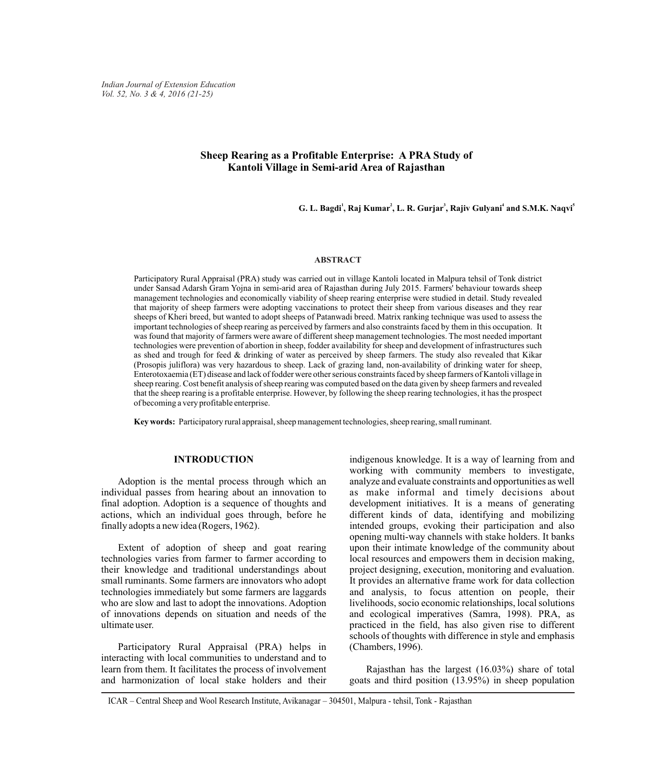*Indian Journal of Extension Education Vol. 52, No. 3 & 4, 2016 (21-25)*

# **Sheep Rearing as a Profitable Enterprise: A PRA Study of Kantoli Village in Semi-arid Area of Rajasthan**

**<sup>1</sup> <sup>2</sup> <sup>3</sup> <sup>4</sup> <sup>5</sup> G. L. Bagdi , Raj Kumar , L. R. Gurjar , Rajiv Gulyani and S.M.K. Naqvi**

#### **ABSTRACT**

Participatory Rural Appraisal (PRA) study was carried out in village Kantoli located in Malpura tehsil of Tonk district under Sansad Adarsh Gram Yojna in semi-arid area of Rajasthan during July 2015. Farmers' behaviour towards sheep management technologies and economically viability of sheep rearing enterprise were studied in detail. Study revealed that majority of sheep farmers were adopting vaccinations to protect their sheep from various diseases and they rear sheeps of Kheri breed, but wanted to adopt sheeps of Patanwadi breed. Matrix ranking technique was used to assess the important technologies of sheep rearing as perceived by farmers and also constraints faced by them in this occupation. It was found that majority of farmers were aware of different sheep management technologies. The most needed important technologies were prevention of abortion in sheep, fodder availability for sheep and development of infrastructures such as shed and trough for feed & drinking of water as perceived by sheep farmers. The study also revealed that Kikar (Prosopis juliflora) was very hazardous to sheep. Lack of grazing land, non-availability of drinking water for sheep, Enterotoxaemia (ET) disease and lack of fodder were other serious constraints faced by sheep farmers of Kantoli village in sheep rearing. Cost benefit analysis of sheep rearing was computed based on the data given by sheep farmers and revealed that the sheep rearing is a profitable enterprise. However, by following the sheep rearing technologies, it has the prospect of becoming a very profitable enterprise.

**Key words:** Participatory rural appraisal, sheep management technologies, sheep rearing, small ruminant.

#### **INTRODUCTION**

Adoption is the mental process through which an individual passes from hearing about an innovation to final adoption. Adoption is a sequence of thoughts and actions, which an individual goes through, before he finally adopts a new idea (Rogers, 1962).

Extent of adoption of sheep and goat rearing technologies varies from farmer to farmer according to their knowledge and traditional understandings about small ruminants. Some farmers are innovators who adopt technologies immediately but some farmers are laggards who are slow and last to adopt the innovations. Adoption of innovations depends on situation and needs of the ultimate user.

Participatory Rural Appraisal (PRA) helps in interacting with local communities to understand and to learn from them. It facilitates the process of involvement and harmonization of local stake holders and their

indigenous knowledge. It is a way of learning from and working with community members to investigate, analyze and evaluate constraints and opportunities as well as make informal and timely decisions about development initiatives. It is a means of generating different kinds of data, identifying and mobilizing intended groups, evoking their participation and also opening multi-way channels with stake holders. It banks upon their intimate knowledge of the community about local resources and empowers them in decision making, project designing, execution, monitoring and evaluation. It provides an alternative frame work for data collection and analysis, to focus attention on people, their livelihoods, socio economic relationships, local solutions and ecological imperatives (Samra, 1998). PRA, as practiced in the field, has also given rise to different schools of thoughts with difference in style and emphasis (Chambers, 1996).

Rajasthan has the largest (16.03%) share of total goats and third position (13.95%) in sheep population

ICAR – Central Sheep and Wool Research Institute, Avikanagar – 304501, Malpura - tehsil, Tonk - Rajasthan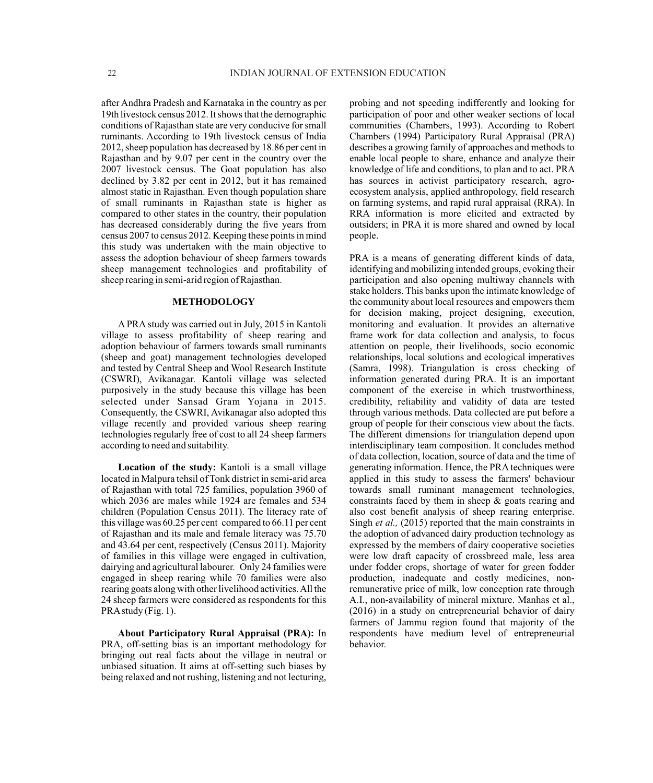after Andhra Pradesh and Karnataka in the country as per 19th livestock census 2012. It shows that the demographic conditions of Rajasthan state are very conducive for small ruminants. According to 19th livestock census of India 2012, sheep population has decreased by 18.86 per cent in Rajasthan and by 9.07 per cent in the country over the 2007 livestock census. The Goat population has also declined by 3.82 per cent in 2012, but it has remained almost static in Rajasthan. Even though population share of small ruminants in Rajasthan state is higher as compared to other states in the country, their population has decreased considerably during the five years from census 2007 to census 2012. Keeping these points in mind this study was undertaken with the main objective to assess the adoption behaviour of sheep farmers towards sheep management technologies and profitability of sheep rearing in semi-arid region of Rajasthan.

### **METHODOLOGY**

A PRA study was carried out in July, 2015 in Kantoli village to assess profitability of sheep rearing and adoption behaviour of farmers towards small ruminants (sheep and goat) management technologies developed and tested by Central Sheep and Wool Research Institute (CSWRI), Avikanagar. Kantoli village was selected purposively in the study because this village has been selected under Sansad Gram Yojana in 2015. Consequently, the CSWRI, Avikanagar also adopted this village recently and provided various sheep rearing technologies regularly free of cost to all 24 sheep farmers according to need and suitability.

**Location of the study:** Kantoli is a small village located in Malpura tehsil of Tonk district in semi-arid area of Rajasthan with total 725 families, population 3960 of which 2036 are males while 1924 are females and 534 children (Population Census 2011). The literacy rate of this village was 60.25 per cent compared to 66.11 per cent of Rajasthan and its male and female literacy was 75.70 and 43.64 per cent, respectively (Census 2011). Majority of families in this village were engaged in cultivation, dairying and agricultural labourer. Only 24 families were engaged in sheep rearing while 70 families were also rearing goats along with other livelihood activities. All the 24 sheep farmers were considered as respondents for this PRA study (Fig. 1).

**About Participatory Rural Appraisal (PRA):** In PRA, off-setting bias is an important methodology for bringing out real facts about the village in neutral or unbiased situation. It aims at off-setting such biases by being relaxed and not rushing, listening and not lecturing, probing and not speeding indifferently and looking for participation of poor and other weaker sections of local communities (Chambers, 1993). According to Robert Chambers (1994) Participatory Rural Appraisal (PRA) describes a growing family of approaches and methods to enable local people to share, enhance and analyze their knowledge of life and conditions, to plan and to act. PRA has sources in activist participatory research, agroecosystem analysis, applied anthropology, field research on farming systems, and rapid rural appraisal (RRA). In RRA information is more elicited and extracted by outsiders; in PRA it is more shared and owned by local people.

PRA is a means of generating different kinds of data, identifying and mobilizing intended groups, evoking their participation and also opening multiway channels with stake holders. This banks upon the intimate knowledge of the community about local resources and empowers them for decision making, project designing, execution, monitoring and evaluation. It provides an alternative frame work for data collection and analysis, to focus attention on people, their livelihoods, socio economic relationships, local solutions and ecological imperatives (Samra, 1998). Triangulation is cross checking of information generated during PRA. It is an important component of the exercise in which trustworthiness, credibility, reliability and validity of data are tested through various methods. Data collected are put before a group of people for their conscious view about the facts. The different dimensions for triangulation depend upon interdisciplinary team composition. It concludes method of data collection, location, source of data and the time of generating information. Hence, the PRA techniques were applied in this study to assess the farmers' behaviour towards small ruminant management technologies, constraints faced by them in sheep & goats rearing and also cost benefit analysis of sheep rearing enterprise. Singh *et al.*, (2015) reported that the main constraints in the adoption of advanced dairy production technology as expressed by the members of dairy cooperative societies were low draft capacity of crossbreed male, less area under fodder crops, shortage of water for green fodder production, inadequate and costly medicines, nonremunerative price of milk, low conception rate through A.I., non-availability of mineral mixture. Manhas et al., (2016) in a study on entrepreneurial behavior of dairy farmers of Jammu region found that majority of the respondents have medium level of entrepreneurial behavior.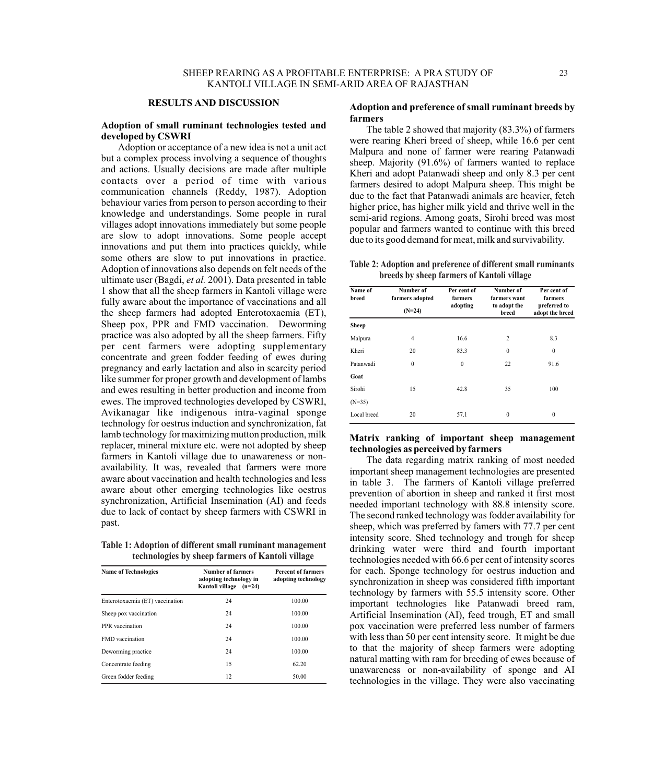# **RESULTS AND DISCUSSION**

### **Adoption of small ruminant technologies tested and developed by CSWRI**

Adoption or acceptance of a new idea is not a unit act but a complex process involving a sequence of thoughts and actions. Usually decisions are made after multiple contacts over a period of time with various communication channels (Reddy, 1987). Adoption behaviour varies from person to person according to their knowledge and understandings. Some people in rural villages adopt innovations immediately but some people are slow to adopt innovations. Some people accept innovations and put them into practices quickly, while some others are slow to put innovations in practice. Adoption of innovations also depends on felt needs of the ultimate user (Bagdi, *et al.* 2001). Data presented in table 1 show that all the sheep farmers in Kantoli village were fully aware about the importance of vaccinations and all the sheep farmers had adopted Enterotoxaemia (ET), Sheep pox, PPR and FMD vaccination. Deworming practice was also adopted by all the sheep farmers. Fifty per cent farmers were adopting supplementary concentrate and green fodder feeding of ewes during pregnancy and early lactation and also in scarcity period like summer for proper growth and development of lambs and ewes resulting in better production and income from ewes. The improved technologies developed by CSWRI, Avikanagar like indigenous intra-vaginal sponge technology for oestrus induction and synchronization, fat lamb technology for maximizing mutton production, milk replacer, mineral mixture etc. were not adopted by sheep farmers in Kantoli village due to unawareness or nonavailability. It was, revealed that farmers were more aware about vaccination and health technologies and less aware about other emerging technologies like oestrus synchronization, Artificial Insemination (AI) and feeds due to lack of contact by sheep farmers with CSWRI in past.

**Table 1: Adoption of different small ruminant management technologies by sheep farmers of Kantoli village** 

| <b>Name of Technologies</b>     | <b>Number of farmers</b><br>adopting technology in<br>Kantoli village (n=24) | <b>Percent of farmers</b><br>adopting technology |
|---------------------------------|------------------------------------------------------------------------------|--------------------------------------------------|
| Enterotoxaemia (ET) vaccination | 24                                                                           | 100.00                                           |
| Sheep pox vaccination           | 24                                                                           | 100.00                                           |
| PPR vaccination                 | 24                                                                           | 100.00                                           |
| <b>FMD</b> vaccination          | 24                                                                           | 100.00                                           |
| Deworming practice.             | 24                                                                           | 100.00                                           |
| Concentrate feeding             | 15                                                                           | 62.20                                            |
| Green fodder feeding            | 12                                                                           | 50.00                                            |

### **Adoption and preference of small ruminant breeds by farmers**

The table 2 showed that majority (83.3%) of farmers were rearing Kheri breed of sheep, while 16.6 per cent Malpura and none of farmer were rearing Patanwadi sheep. Majority (91.6%) of farmers wanted to replace Kheri and adopt Patanwadi sheep and only 8.3 per cent farmers desired to adopt Malpura sheep. This might be due to the fact that Patanwadi animals are heavier, fetch higher price, has higher milk yield and thrive well in the semi-arid regions. Among goats, Sirohi breed was most popular and farmers wanted to continue with this breed due to its good demand for meat, milk and survivability.

**Table 2: Adoption and preference of different small ruminants breeds by sheep farmers of Kantoli village**

| Name of<br>breed | Number of<br>farmers adopted<br>$(N=24)$ | Per cent of<br>farmers<br>adopting | Number of<br>farmers want<br>to adopt the<br>breed | Per cent of<br>farmers<br>preferred to<br>adopt the breed |  |
|------------------|------------------------------------------|------------------------------------|----------------------------------------------------|-----------------------------------------------------------|--|
| <b>Sheep</b>     |                                          |                                    |                                                    |                                                           |  |
| Malpura          | 4                                        | 16.6                               | $\overline{2}$                                     | 8.3                                                       |  |
| Kheri            | 20                                       | 83.3                               | $\theta$                                           | $\mathbf{0}$                                              |  |
| Patanwadi        | $\theta$                                 | $\mathbf{0}$                       | 22                                                 | 91.6                                                      |  |
| Goat             |                                          |                                    |                                                    |                                                           |  |
| Sirohi           | 15                                       | 42.8                               | 35                                                 | 100                                                       |  |
| $(N=35)$         |                                          |                                    |                                                    |                                                           |  |
| Local breed      | 20                                       | 57.1                               | $\theta$                                           | $\mathbf{0}$                                              |  |

### **Matrix ranking of important sheep management technologies as perceived by farmers**

The data regarding matrix ranking of most needed important sheep management technologies are presented in table 3. The farmers of Kantoli village preferred prevention of abortion in sheep and ranked it first most needed important technology with 88.8 intensity score. The second ranked technology was fodder availability for sheep, which was preferred by famers with 77.7 per cent intensity score. Shed technology and trough for sheep drinking water were third and fourth important technologies needed with 66.6 per cent of intensity scores for each. Sponge technology for oestrus induction and synchronization in sheep was considered fifth important technology by farmers with 55.5 intensity score. Other important technologies like Patanwadi breed ram, Artificial Insemination (AI), feed trough, ET and small pox vaccination were preferred less number of farmers with less than 50 per cent intensity score. It might be due to that the majority of sheep farmers were adopting natural matting with ram for breeding of ewes because of unawareness or non-availability of sponge and AI technologies in the village. They were also vaccinating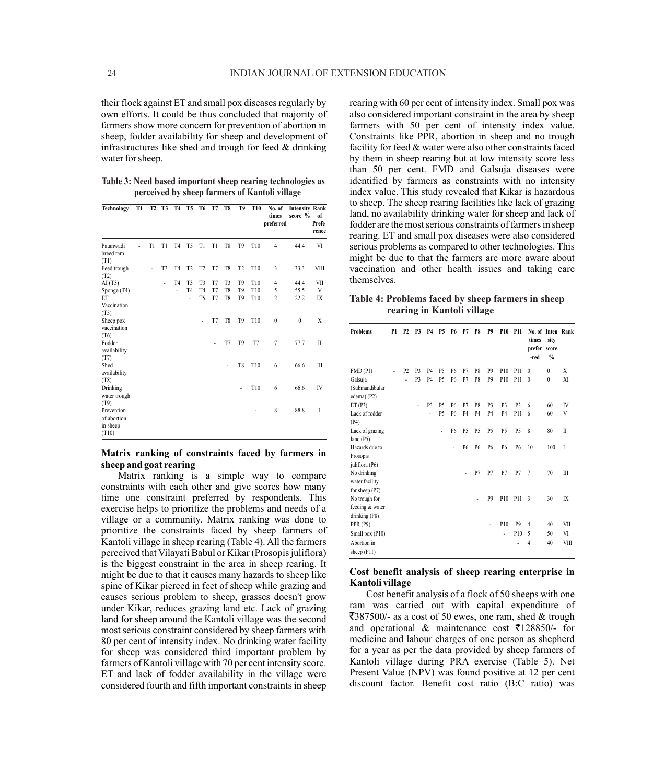their flock against ET and small pox diseases regularly by own efforts. It could be thus concluded that majority of farmers show more concern for prevention of abortion in sheep, fodder availability for sheep and development of infrastructures like shed and trough for feed & drinking water for sheep.

**Table 3: Need based important sheep rearing technologies as perceived by sheep farmers of Kantoli village**

| Technology                                             | T1 | <b>T2</b> | T3             | <b>T4</b>      | T <sub>5</sub> | T6             | T7 | T8             | T9             | <b>T10</b>      | No. of<br>times<br>preferred | <b>Intensity Rank</b><br>score % | of<br>Prefe<br>rence |
|--------------------------------------------------------|----|-----------|----------------|----------------|----------------|----------------|----|----------------|----------------|-----------------|------------------------------|----------------------------------|----------------------|
| Patanwadi<br>breed ram<br>(T1)                         |    | T1        | T1             | T <sub>4</sub> | T <sub>5</sub> | T1             | T1 | T <sub>8</sub> | T <sub>9</sub> | T10             | $\overline{4}$               | 44.4                             | VI                   |
| Feed trough<br>(T2)                                    |    | ٠         | T <sub>3</sub> | T <sub>4</sub> | T <sub>2</sub> | T <sub>2</sub> | T7 | T <sub>8</sub> | T <sub>2</sub> | T <sub>10</sub> | 3                            | 33.3                             | VIII                 |
| AI(T3)                                                 |    |           |                | T <sub>4</sub> | T3             | T <sub>3</sub> | T7 | T <sub>3</sub> | T9             | T10             | $\overline{4}$               | 44.4                             | VII                  |
| Sponge (T4)                                            |    |           |                | ÷,             | T <sub>4</sub> | T <sub>4</sub> | T7 | T <sub>8</sub> | T <sub>9</sub> | T10             | 5                            | 55.5                             | V                    |
| ET<br>Vaccination<br>(T5)                              |    |           |                |                | $\overline{a}$ | T <sub>5</sub> | T7 | T <sub>8</sub> | T <sub>9</sub> | T <sub>10</sub> | $\overline{2}$               | 22.2                             | IX                   |
| Sheep pox<br>vaccination<br>(T6)                       |    |           |                |                |                |                | T7 | T <sub>8</sub> | T <sub>9</sub> | T <sub>10</sub> | $\boldsymbol{0}$             | $\mathbf{0}$                     | X                    |
| Fodder<br>availability<br>(T7)                         |    |           |                |                |                |                | ٠  | T7             | T <sub>9</sub> | T7              | $\overline{7}$               | 77.7                             | $\mathbf{H}$         |
| Shed<br>availability<br>(T8)                           |    |           |                |                |                |                |    |                | T8             | T10             | 6                            | 66.6                             | III                  |
| Drinking<br>water trough                               |    |           |                |                |                |                |    |                |                | T10             | 6                            | 66.6                             | IV                   |
| (T9)<br>Prevention<br>of abortion<br>in sheep<br>(T10) |    |           |                |                |                |                |    |                |                |                 | 8                            | 88.8                             | I                    |

## **Matrix ranking of constraints faced by farmers in sheep and goat rearing**

Matrix ranking is a simple way to compare constraints with each other and give scores how many time one constraint preferred by respondents. This exercise helps to prioritize the problems and needs of a village or a community. Matrix ranking was done to prioritize the constraints faced by sheep farmers of Kantoli village in sheep rearing (Table 4). All the farmers perceived that Vilayati Babul or Kikar (Prosopis juliflora) is the biggest constraint in the area in sheep rearing. It might be due to that it causes many hazards to sheep like spine of Kikar pierced in feet of sheep while grazing and causes serious problem to sheep, grasses doesn't grow under Kikar, reduces grazing land etc. Lack of grazing land for sheep around the Kantoli village was the second most serious constraint considered by sheep farmers with 80 per cent of intensity index. No drinking water facility for sheep was considered third important problem by farmers of Kantoli village with 70 per cent intensity score. ET and lack of fodder availability in the village were considered fourth and fifth important constraints in sheep

rearing with 60 per cent of intensity index. Small pox was also considered important constraint in the area by sheep farmers with 50 per cent of intensity index value. Constraints like PPR, abortion in sheep and no trough facility for feed & water were also other constraints faced by them in sheep rearing but at low intensity score less than 50 per cent. FMD and Galsuja diseases were identified by farmers as constraints with no intensity index value. This study revealed that Kikar is hazardous to sheep. The sheep rearing facilities like lack of grazing land, no availability drinking water for sheep and lack of fodder are the most serious constraints of farmers in sheep rearing. ET and small pox diseases were also considered serious problems as compared to other technologies. This might be due to that the farmers are more aware about vaccination and other health issues and taking care themselves.

# **Table 4: Problems faced by sheep farmers in sheep rearing in Kantoli village**

| <b>Problems</b> | P <sub>1</sub> | <b>P2</b>      | P <sub>3</sub> | P <sub>4</sub> | <b>P5</b>      | P6             | P7             | P8             | P <sub>9</sub> | <b>P10</b>     | <b>P11</b>     | times<br>prefer score<br>-red | No. of Inten Rank<br>sity<br>$\%$ |              |
|-----------------|----------------|----------------|----------------|----------------|----------------|----------------|----------------|----------------|----------------|----------------|----------------|-------------------------------|-----------------------------------|--------------|
| FMD(P1)         |                | P <sub>2</sub> | P <sub>3</sub> | P <sub>4</sub> | P <sub>5</sub> | P6             | P7             | P8             | P <sub>9</sub> | P10            | P11            | $\theta$                      | $\bf{0}$                          | X            |
| Galsuja         |                |                | P <sub>3</sub> | P <sub>4</sub> | P <sub>5</sub> | P <sub>6</sub> | P7             | P8             | P <sub>9</sub> | P10            | P11            | $\theta$                      | $\mathbf{0}$                      | XI           |
| (Submandibular  |                |                |                |                |                |                |                |                |                |                |                |                               |                                   |              |
| edema) (P2)     |                |                |                |                |                |                |                |                |                |                |                |                               |                                   |              |
| ET(P3)          |                |                | ٠              | P <sub>3</sub> | P <sub>5</sub> | P6             | P7             | P8             | P <sub>3</sub> | P <sub>3</sub> | P <sub>3</sub> | 6                             | 60                                | IV           |
| Lack of fodder  |                |                |                | ä,             | P <sub>5</sub> | <b>P6</b>      | P <sub>4</sub> | <b>P4</b>      | P <sub>4</sub> | P <sub>4</sub> | P11            | 6                             | 60                                | V            |
| (P4)            |                |                |                |                |                |                |                |                |                |                |                |                               |                                   |              |
| Lack of grazing |                |                |                |                | ٠              | P6             | P <sub>5</sub> | P <sub>5</sub> | P <sub>5</sub> | P <sub>5</sub> | P <sub>5</sub> | 8                             | 80                                | $\mathbf{I}$ |
| land $(P5)$     |                |                |                |                |                |                |                |                |                |                |                |                               |                                   |              |
| Hazards due to  |                |                |                |                |                | ٠              | P6             | P <sub>6</sub> | P6             | P6             | P <sub>6</sub> | 10                            | 100                               | T            |
| Prosopis        |                |                |                |                |                |                |                |                |                |                |                |                               |                                   |              |
| juliflora (P6)  |                |                |                |                |                |                |                |                |                |                |                |                               |                                   |              |
| No drinking     |                |                |                |                |                |                | ä,             | P7             | P7             | P7             | P7             | $\overline{7}$                | 70                                | III          |
| water facility  |                |                |                |                |                |                |                |                |                |                |                |                               |                                   |              |
| for sheep (P7)  |                |                |                |                |                |                |                |                |                |                |                |                               |                                   |              |
| No trough for   |                |                |                |                |                |                |                |                | P <sub>9</sub> | P10            | P11            | 3                             | 30                                | IX           |
| feeding & water |                |                |                |                |                |                |                |                |                |                |                |                               |                                   |              |
| drinking $(P8)$ |                |                |                |                |                |                |                |                |                |                |                |                               |                                   |              |
| <b>PPR</b> (P9) |                |                |                |                |                |                |                |                | ٠              | P10            | P <sub>9</sub> | $\overline{4}$                | 40                                | VII          |
| Small pox (P10) |                |                |                |                |                |                |                |                |                | ٠              | P10            | 5                             | 50                                | VI           |
| Abortion in     |                |                |                |                |                |                |                |                |                |                |                | $\overline{4}$                | 40                                | <b>VIII</b>  |
| sheep (P11)     |                |                |                |                |                |                |                |                |                |                |                |                               |                                   |              |

## **Cost benefit analysis of sheep rearing enterprise in Kantoli village**

Cost benefit analysis of a flock of 50 sheeps with one ram was carried out with capital expenditure of  $\overline{\xi}387500/$ - as a cost of 50 ewes, one ram, shed & trough and operational & maintenance cost  $\overline{\xi}$ 128850/- for medicine and labour charges of one person as shepherd for a year as per the data provided by sheep farmers of Kantoli village during PRA exercise (Table 5). Net Present Value (NPV) was found positive at 12 per cent discount factor. Benefit cost ratio (B:C ratio) was